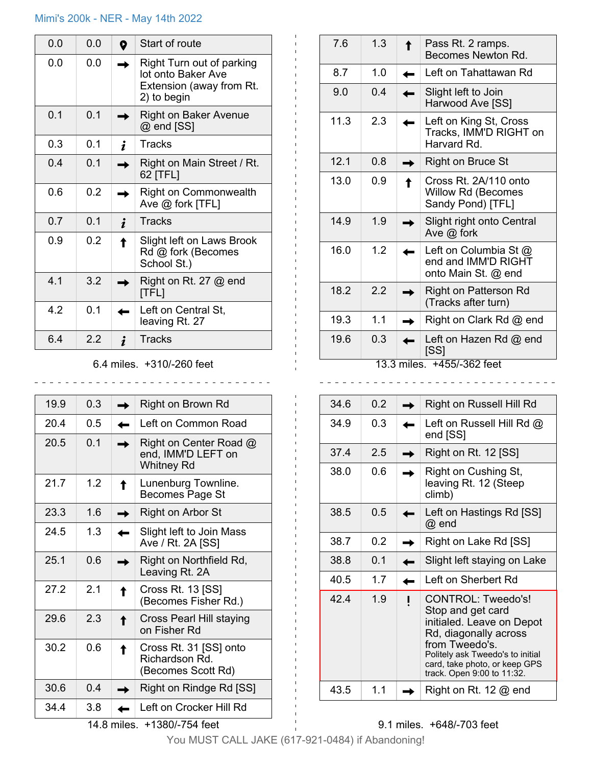# Mimi's 200k - NER - May 14th 2022

| 0.0 | 0.0            | 0 | Start of route                                                                             |
|-----|----------------|---|--------------------------------------------------------------------------------------------|
| 0.0 | 0.0            |   | Right Turn out of parking<br>lot onto Baker Ave<br>Extension (away from Rt.<br>2) to begin |
| 0.1 | 0 <sub>1</sub> |   | Right on Baker Avenue<br>@ end [SS]                                                        |
| 0.3 | 0.1            |   | <b>Tracks</b>                                                                              |
| 0.4 | 0.1            |   | Right on Main Street / Rt.<br>62 [TFL]                                                     |
| 0.6 | 0.2            |   | Right on Commonwealth<br>Ave $@$ fork [TFL]                                                |
| 0.7 | 0 <sub>1</sub> |   | <b>Tracks</b>                                                                              |
| 0.9 | 0.2            |   | Slight left on Laws Brook<br>Rd @ fork (Becomes<br>School St.)                             |
| 4.1 | 3.2            |   | Right on Rt. 27 $@$ end<br>[TFL]                                                           |
| 4.2 | 0.1            |   | Left on Central St,<br>leaving Rt. 27                                                      |
| 6.4 | 22             |   | Tracks                                                                                     |

## 6.4 miles. +310/-260 feet

\_\_\_\_\_\_\_\_\_\_\_\_\_\_\_\_\_\_\_\_\_\_\_\_\_\_\_\_\_\_

| 19.9                        | 0.3 |  | Right on Brown Rd                                              |  |  |
|-----------------------------|-----|--|----------------------------------------------------------------|--|--|
| 20.4                        | 0.5 |  | Left on Common Road                                            |  |  |
| 20.5                        | 0.1 |  | Right on Center Road @<br>end, IMM'D LEFT on<br>Whitney Rd     |  |  |
| 21.7                        | 1.2 |  | Lunenburg Townline.<br>Becomes Page St                         |  |  |
| 23.3                        | 1.6 |  | Right on Arbor St                                              |  |  |
| 24.5                        | 1.3 |  | Slight left to Join Mass<br>Ave / Rt. 2A [SS]                  |  |  |
| 25.1                        | 0.6 |  | Right on Northfield Rd,<br>Leaving Rt. 2A                      |  |  |
| 27.2                        | 2.1 |  | Cross Rt. 13 [SS]<br>(Becomes Fisher Rd.)                      |  |  |
| 29.6                        | 2.3 |  | Cross Pearl Hill staying<br>on Fisher Rd                       |  |  |
| 30.2                        | 0.6 |  | Cross Rt. 31 [SS] onto<br>Richardson Rd.<br>(Becomes Scott Rd) |  |  |
| 30.6                        | 0.4 |  | Right on Rindge Rd [SS]                                        |  |  |
| 34.4                        | 3.8 |  | Left on Crocker Hill Rd                                        |  |  |
| 14.8 miles. +1380/-754 feet |     |  |                                                                |  |  |

| 7.6  | 1.3 |            | Pass Rt. 2 ramps.<br>Becomes Newton Rd.                                 |
|------|-----|------------|-------------------------------------------------------------------------|
| 8.7  | 1.0 |            | Left on Tahattawan Rd                                                   |
| 9.0  | 0.4 |            | Slight left to Join<br>Harwood Ave [SS]                                 |
| 11.3 | 2.3 |            | Left on King St, Cross<br>Tracks, IMM'D RIGHT on<br>Harvard Rd.         |
| 12.1 | 0.8 |            | Right on Bruce St                                                       |
| 13.0 | 0.9 |            | Cross Rt. 2A/110 onto<br><b>Willow Rd (Becomes</b><br>Sandy Pond) [TFL] |
| 14.9 | 1.9 |            | Slight right onto Central<br>Ave $@$ fork                               |
| 16.0 | 1.2 |            | Left on Columbia St @<br>end and IMM'D RIGHT<br>onto Main St. @ end     |
| 18.2 | 2.2 |            | <b>Right on Patterson Rd</b><br>(Tracks after turn)                     |
| 19.3 | 1.1 |            | Right on Clark Rd @ end                                                 |
| 19.6 | 0.3 | 13.3 miles | Left on Hazen Rd @ end<br>[SS]<br>+455/-362 feet                        |

13.3 miles. +455/-362 feet

| 34.6 | 0.2 | Right on Russell Hill Rd                                                                                                                                                                                           |
|------|-----|--------------------------------------------------------------------------------------------------------------------------------------------------------------------------------------------------------------------|
| 34.9 | 0.3 | Left on Russell Hill Rd $@$<br>end [SS]                                                                                                                                                                            |
| 37.4 | 2.5 | Right on Rt. 12 [SS]                                                                                                                                                                                               |
| 38.0 | 0.6 | Right on Cushing St,<br>leaving Rt. 12 (Steep<br>climb)                                                                                                                                                            |
| 38.5 | 0.5 | Left on Hastings Rd [SS]<br>@ end                                                                                                                                                                                  |
| 38.7 | 0.2 | Right on Lake Rd [SS]                                                                                                                                                                                              |
| 38.8 | 0.1 | Slight left staying on Lake                                                                                                                                                                                        |
| 40.5 | 1.7 | Left on Sherbert Rd                                                                                                                                                                                                |
| 42.4 | 1.9 | CONTROL: Tweedo's!<br>Stop and get card<br>initialed. Leave on Depot<br>Rd, diagonally across<br>from Tweedo's.<br>Politely ask Tweedo's to initial<br>card, take photo, or keep GPS<br>track. Open 9:00 to 11:32. |
| 43.5 | 1.1 | Right on Rt. 12 $@$ end                                                                                                                                                                                            |

#### 9.1 miles. +648/-703 feet

You MUST CALL JAKE (617-921-0484) if Abandoning!

 $\sim$   $\sim$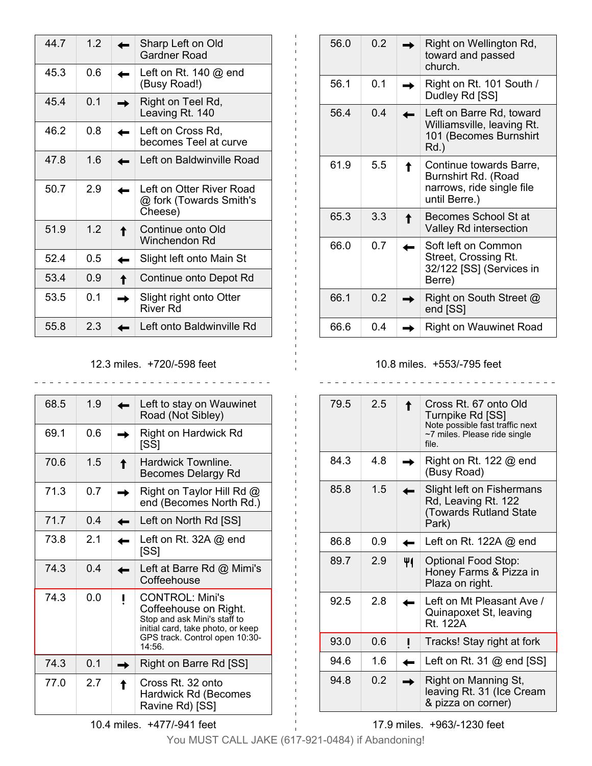| 447  | 12  | Sharp Left on Old<br>Gardner Road                              |
|------|-----|----------------------------------------------------------------|
| 45.3 | 0.6 | Left on Rt. 140 $@$ end<br>(Busy Road!)                        |
| 45.4 | 0.1 | Right on Teel Rd,<br>Leaving Rt. 140                           |
| 46.2 | 0.8 | Left on Cross Rd,<br>becomes Teel at curve                     |
| 47.8 | 16  | Left on Baldwinville Road                                      |
| 50.7 | 2.9 | Left on Otter River Road<br>@ fork (Towards Smith's<br>Cheese) |
| 51.9 | 1.2 | Continue onto Old<br>Winchendon Rd                             |
| 52.4 | 0.5 | Slight left onto Main St                                       |
| 53.4 | 0.9 | Continue onto Depot Rd                                         |
| 53.5 | ი 1 | Slight right onto Otter<br>River Rd                            |
| 55.8 | 23  | Left onto Baldwinville Rd                                      |

## 12.3 miles. +720/-598 feet

| 68.5 | 1.9            | Left to stay on Wauwinet<br>Road (Not Sibley)                                                                                                                    |
|------|----------------|------------------------------------------------------------------------------------------------------------------------------------------------------------------|
| 69.1 | 0.6            | Right on Hardwick Rd<br>[SS]                                                                                                                                     |
| 70.6 | 1.5            | Hardwick Townline.<br>Becomes Delargy Rd                                                                                                                         |
| 71.3 | 0.7            | Right on Taylor Hill Rd @<br>end (Becomes North Rd.)                                                                                                             |
| 717  | 04             | Left on North Rd [SS]                                                                                                                                            |
| 73.8 | 2 <sub>1</sub> | Left on Rt. 32A $@$ end<br>[SS]                                                                                                                                  |
| 74 3 | 04             | Left at Barre Rd @ Mimi's<br>Coffeehouse                                                                                                                         |
| 74.3 | 0.0            | <b>CONTROL: Mini's</b><br>Coffeehouse on Right.<br>Stop and ask Mini's staff to<br>initial card, take photo, or keep<br>GPS track. Control open 10:30-<br>14:56. |
| 74.3 | 0 <sub>1</sub> | Right on Barre Rd [SS]                                                                                                                                           |
| 77.0 | 27             | Cross Rt. 32 onto<br>Hardwick Rd (Becomes<br>Ravine Rd) [SS]                                                                                                     |

56.0  $\Box$   $\Box$  Right on Wellington Rd, toward and passed church. 56.1 0.1 Right on Rt. 101 South / Dudley Rd [SS] 56.4 0.4 Left on Barre Rd, toward Williamsville, leaving Rt. 101 (Becomes Burnshirt Rd.) 61.9 5.5 **Continue towards Barre**, Burnshirt Rd. (Road narrows, ride single file until Berre.)  $65.3$  3.3 **Becomes School St at** Valley Rd intersection 66.0 0.7 **Soft left on Common** Street, Crossing Rt. 32/122 [SS] (Services in Berre) 66.1 0.2 **Right on South Street**  $\omega$ end [SS] 66.6 0.4 **Right on Wauwinet Road** 

#### 10.8 miles. +553/-795 feet

| 79.5            | 25  | Cross Rt. 67 onto Old<br>Turnpike Rd [SS]<br>Note possible fast traffic next<br>~7 miles. Please ride single |
|-----------------|-----|--------------------------------------------------------------------------------------------------------------|
|                 |     | file.                                                                                                        |
| 84.3            | 4.8 | Right on Rt. 122 $@$ end<br>(Busy Road)                                                                      |
| 85.8            | 1.5 | Slight left on Fishermans<br>Rd, Leaving Rt. 122<br><b>Towards Rutland State</b><br>Park)                    |
| 86.8            | 0.9 | Left on Rt. 122A @ end                                                                                       |
| 89.7            | 2.9 | <b>Optional Food Stop:</b><br>Honey Farms & Pizza in<br>Plaza on right.                                      |
| 92 <sub>5</sub> | 2.8 | Left on Mt Pleasant Ave /<br>Quinapoxet St, leaving<br>Rt 122A                                               |
| 93.0            | 0.6 | Tracks! Stay right at fork                                                                                   |
| 94.6            | 1 6 | Left on Rt. 31 $@$ end [SS]                                                                                  |
| 94.8            | 02  | Right on Manning St,<br>leaving Rt. 31 (Ice Cream<br>& pizza on corner)                                      |

17.9 miles. +963/-1230 feet

You MUST CALL JAKE (617-921-0484) if Abandoning!

10.4 miles. +477/-941 feet